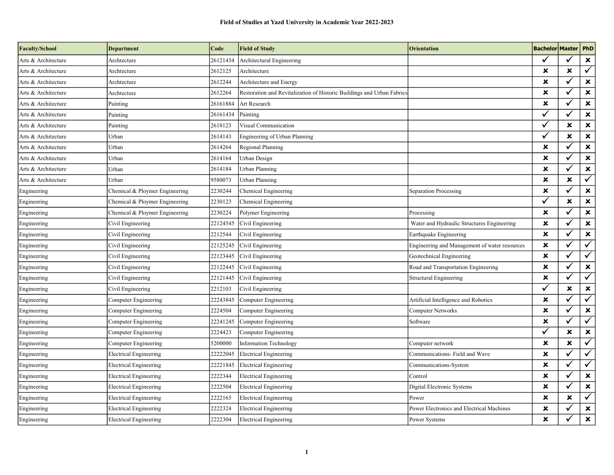| <b>Faculty/School</b> | <b>Department</b>              | Code     | <b>Field of Study</b>                                                  | Orientation                                   | <b>Bachelor Master   PhD</b> |                           |                         |
|-----------------------|--------------------------------|----------|------------------------------------------------------------------------|-----------------------------------------------|------------------------------|---------------------------|-------------------------|
| Arts & Architecture   | Archtecture                    | 26121434 | Architectural Engineering                                              |                                               | ✓                            |                           | $\pmb{\times}$          |
| Arts & Architecture   | Archtecture                    | 2612125  | Architecture                                                           |                                               | ×                            | ×                         | $\checkmark$            |
| Arts & Architecture   | Archtecture                    | 2612244  | Architecture and Energy                                                |                                               | ×                            |                           | $\pmb{\times}$          |
| Arts & Architecture   | Archtecture                    | 2612264  | Restoration and Revitalization of Historic Buildings and Urban Fabrics |                                               | ×                            |                           | $\pmb{\times}$          |
| Arts & Architecture   | Painting                       | 26161884 | Art Research                                                           |                                               | ×                            |                           | $\pmb{\times}$          |
| Arts & Architecture   | Painting                       | 26161434 | Painting                                                               |                                               | $\checkmark$                 | ✓                         | $\pmb{\times}$          |
| Arts & Architecture   | Painting                       | 2618123  | Visual Communication                                                   |                                               | $\checkmark$                 | ×                         | $\pmb{\times}$          |
| Arts & Architecture   | Urban                          | 2614143  | Engineering of Urban Planning                                          |                                               | ✓                            | $\boldsymbol{\mathsf{x}}$ | ×                       |
| Arts & Architecture   | Urban                          | 2614264  | Regional Planning                                                      |                                               | ×                            |                           | $\pmb{\times}$          |
| Arts & Architecture   | Urban                          | 2614164  | Urban Design                                                           |                                               | ×                            | ✓                         | $\pmb{\times}$          |
| Arts & Architecture   | Urban                          | 2614184  | Urban Planning                                                         |                                               | ×                            | ✓                         | $\pmb{\times}$          |
| Arts & Architecture   | Urban                          | 9580073  | Urban Planning                                                         |                                               | ×                            | ×                         | $\checkmark$            |
| Engineering           | Chemical & Ploymer Engineering | 2230244  | Chemical Engineering                                                   | <b>Separation Processing</b>                  | ×                            |                           | $\pmb{\times}$          |
| Engineering           | Chemical & Ploymer Engineering | 2230123  | Chemical Engineering                                                   |                                               | $\checkmark$                 | $\boldsymbol{\mathsf{x}}$ | $\pmb{\times}$          |
| Engineering           | Chemical & Ploymer Engineering | 2230224  | Polymer Engineering                                                    | Processing                                    | ×                            |                           | $\pmb{\times}$          |
| Engineering           | Civil Engineering              | 22124545 | Civil Engineering                                                      | Water and Hydraulic Structures Engineering    | ×                            | ✔                         | $\pmb{\times}$          |
| Engineering           | Civil Engineering              | 2212544  | Civil Engineering                                                      | Earthquake Engineering                        | ×                            |                           | $\pmb{\times}$          |
| Engineering           | Civil Engineering              | 22125245 | Civil Engineering                                                      | Engineering and Management of water resources | ×                            | ✓                         | $\checkmark$            |
| Engineering           | Civil Engineering              | 22123445 | Civil Engineering                                                      | Geotechnical Engineering                      | ×                            |                           | $\checkmark$            |
| Engineering           | Civil Engineering              | 22122445 | Civil Engineering                                                      | Road and Transportation Engineering           | ×                            | ✓                         | $\pmb{\times}$          |
| Engineering           | Civil Engineering              | 22121445 | Civil Engineering                                                      | Structural Engineering                        | ×                            |                           | $\checkmark$            |
| Engineering           | Civil Engineering              | 2212103  | Civil Engineering                                                      |                                               | ✓                            | ×                         | $\pmb{\times}$          |
| Engineering           | Computer Engineering           | 22243845 | Computer Engineering                                                   | Artificial Intelligence and Robotics          | ×                            |                           | $\checkmark$            |
| Engineering           | Computer Engineering           | 2224504  | Computer Engineering                                                   | <b>Computer Networks</b>                      | ×                            | ✓                         | $\pmb{\times}$          |
| Engineering           | Computer Engineering           | 22241245 | Computer Engineering                                                   | Software                                      | ×                            |                           | $\checkmark$            |
| Engineering           | Computer Engineering           | 2224423  | Computer Engineering                                                   |                                               | $\checkmark$                 | ×                         | $\pmb{\times}$          |
| Engineering           | Computer Engineering           | 5200000  | <b>Information Technology</b>                                          | Computer network                              | ×                            | $\boldsymbol{\mathsf{x}}$ | $\overline{\checkmark}$ |
| Engineering           | <b>Electrical Engineering</b>  | 22222045 | <b>Electrical Engineering</b>                                          | Communications- Field and Wave                | ×                            |                           | $\checkmark$            |
| Engineering           | <b>Electrical Engineering</b>  | 22221845 | <b>Electrical Engineering</b>                                          | Communications-System                         | ×                            |                           | $\checkmark$            |
| Engineering           | Electrical Engineering         | 2222344  | Electrical Engineering                                                 | Control                                       | ×                            | ✓                         | $\pmb{\times}$          |
| Engineering           | <b>Electrical Engineering</b>  | 2222504  | <b>Electrical Engineering</b>                                          | Digital Electronic Systems                    | ×                            | ✓                         | $\pmb{\times}$          |
| Engineering           | <b>Electrical Engineering</b>  | 2222165  | <b>Electrical Engineering</b>                                          | Power                                         | ×                            | ×                         | $\checkmark$            |
| Engineering           | <b>Electrical Engineering</b>  | 2222324  | <b>Electrical Engineering</b>                                          | Power Electronics and Electrical Machines     | ×                            |                           | $\pmb{\times}$          |
| Engineering           | <b>Electrical Engineering</b>  | 2222304  | <b>Electrical Engineering</b>                                          | Power Systems                                 | ×                            |                           | $\pmb{\times}$          |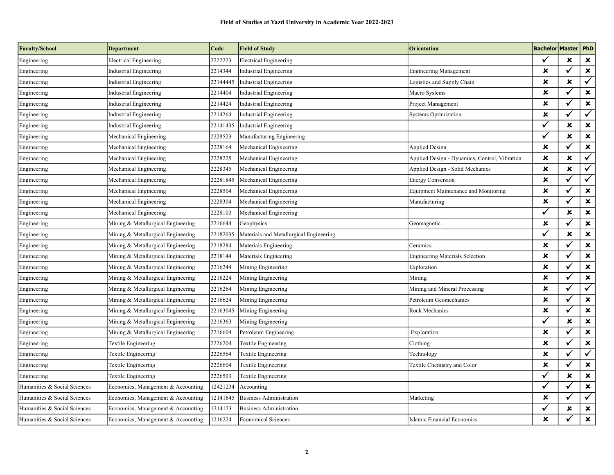| <b>Faculty/School</b>        | <b>Department</b>                  | Code     | <b>Field of Study</b>                   | <b>Orientation</b>                            | <b>Bachelor Master PhD</b> |              |                         |
|------------------------------|------------------------------------|----------|-----------------------------------------|-----------------------------------------------|----------------------------|--------------|-------------------------|
| Engineering                  | <b>Electrical Engineering</b>      | 2222223  | <b>Electrical Engineering</b>           |                                               | ✓                          | ×            | $\pmb{\times}$          |
| Engineering                  | <b>Industrial Engineering</b>      | 2214344  | Industrial Engineering                  | <b>Engineering Management</b>                 | $\pmb{\times}$             | $\checkmark$ | $\pmb{\times}$          |
| Engineering                  | <b>Industrial Engineering</b>      | 22144445 | Industrial Engineering                  | Logistics and Supply Chain                    | $\pmb{\times}$             | ×            | $\checkmark$            |
| Engineering                  | Industrial Engineering             | 2214404  | Industrial Engineering                  | Macro Systems                                 | $\boldsymbol{\mathsf{x}}$  | ✓            | $\pmb{\times}$          |
| Engineering                  | Industrial Engineering             | 2214424  | <b>Industrial Engineering</b>           | Project Management                            | $\pmb{\times}$             | $\checkmark$ | $\pmb{\times}$          |
| Engineering                  | Industrial Engineering             | 2214264  | Industrial Engineering                  | <b>Systems Optimization</b>                   | $\pmb{\times}$             | ✓            | $\overline{\checkmark}$ |
| Engineering                  | Industrial Engineering             | 22141435 | Industrial Engineering                  |                                               | $\checkmark$               | ×            | $\pmb{\times}$          |
| Engineering                  | Mechanical Engineering             | 2228523  | Manufacturing Engineering               |                                               | ✓                          | ×            | $\pmb{\times}$          |
| Engineering                  | Mechanical Engineering             | 2228164  | Mechanical Engineering                  | <b>Applied Design</b>                         | $\pmb{\times}$             | ✓            | $\pmb{\times}$          |
| Engineering                  | Mechanical Engineering             | 2228225  | Mechanical Engineering                  | Applied Design - Dynamics, Control, Vibration | $\pmb{\times}$             | ×            | $\sqrt{}$               |
| Engineering                  | Mechanical Engineering             | 2228345  | Mechanical Engineering                  | Applied Design - Solid Mechanics              | $\pmb{\times}$             | ×            | $\checkmark$            |
| Engineering                  | Mechanical Engineering             | 22281845 | Mechanical Engineering                  | <b>Energy Conversion</b>                      | $\boldsymbol{\mathsf{x}}$  | ✓            | $\checkmark$            |
| Engineering                  | Mechanical Engineering             | 2228504  | Mechanical Engineering                  | <b>Equipment Maintenance and Monitoring</b>   | $\pmb{\times}$             | $\checkmark$ | $\pmb{\times}$          |
| Engineering                  | Mechanical Engineering             | 2228304  | Mechanical Engineering                  | Manufacturing                                 | $\pmb{\times}$             | ✓            | $\pmb{\times}$          |
| Engineering                  | Mechanical Engineering             | 2228103  | Mechanical Engineering                  |                                               | $\checkmark$               | ×            | $\pmb{\times}$          |
| Engineering                  | Mining & Metallurgical Engineering | 2216644  | Geophysics                              | Geomagnetic                                   | $\boldsymbol{\mathsf{x}}$  | ✓            | $\pmb{\times}$          |
| Engineering                  | Mining & Metallurgical Engineering | 22182035 | Materials and Metallurgical Engineering |                                               | $\checkmark$               | ×            | $\pmb{\times}$          |
| Engineering                  | Mining & Metallurgical Engineering | 2218284  | Materials Engineering                   | Ceramics                                      | $\boldsymbol{\mathsf{x}}$  | ✓            | $\pmb{\times}$          |
| Engineering                  | Mining & Metallurgical Engineering | 2218144  | Materials Engineering                   | <b>Engineering Materials Selection</b>        | $\pmb{\times}$             | $\checkmark$ | $\pmb{\times}$          |
| Engineering                  | Mining & Metallurgical Engineering | 2216244  | Mining Engineering                      | Exploration                                   | ×                          | $\checkmark$ | $\pmb{\times}$          |
| Engineering                  | Mining & Metallurgical Engineering | 2216224  | Mining Engineering                      | Mining                                        | ×                          | $\checkmark$ | $\pmb{\times}$          |
| Engineering                  | Mining & Metallurgical Engineering | 2216264  | Mining Engineering                      | Mining and Mineral Processing                 | $\pmb{\times}$             | ✓            | $\overline{\checkmark}$ |
| Engineering                  | Mining & Metallurgical Engineering | 2216624  | Mining Engineering                      | Petroleum Geomechanics                        | ×                          |              | ×                       |
| Engineering                  | Mining & Metallurgical Engineering | 22163045 | Mining Engineering                      | Rock Mechanics                                | $\pmb{\times}$             |              | $\pmb{\times}$          |
| Engineering                  | Mining & Metallurgical Engineering | 2216363  | Mining Engineering                      |                                               | $\checkmark$               | ×            | $\pmb{\times}$          |
| Engineering                  | Mining & Metallurgical Engineering | 2216604  | Petroleum Engineering                   | Exploration                                   | $\pmb{\times}$             | ✓            | $\pmb{\times}$          |
| Engineering                  | Textile Engineering                | 2226204  | Textile Engineering                     | Clothing                                      | $\boldsymbol{\mathsf{x}}$  | $\checkmark$ | $\pmb{\times}$          |
| Engineering                  | Textile Engineering                | 2226564  | Textile Engineering                     | Technology                                    | $\pmb{\times}$             | ✓            | $\checkmark$            |
| Engineering                  | Textile Engineering                | 2226604  | Textile Engineering                     | Textile Chemistry and Color                   | $\boldsymbol{\mathsf{x}}$  | $\checkmark$ | $\pmb{\times}$          |
| Engineering                  | Textile Engineering                | 2226503  | Textile Engineering                     |                                               | $\overline{\checkmark}$    | ×            | $\pmb{\times}$          |
| Humanities & Social Sciences | Economics, Management & Accounting | 12421234 | Accounting                              |                                               | $\checkmark$               | ✓            | $\pmb{\times}$          |
| Humanities & Social Sciences | Economics, Management & Accounting | 12141645 | <b>Business Administration</b>          | Marketing                                     | $\pmb{\times}$             |              | $\checkmark$            |
| Humanities & Social Sciences | Economics, Management & Accounting | 1214123  | <b>Business Administration</b>          |                                               | $\checkmark$               | ×            | $\pmb{\times}$          |
| Humanities & Social Sciences | Economics, Management & Accounting | 1216224  | <b>Economical Sciences</b>              | Islamic Financial Economics                   | $\pmb{\times}$             |              | $\pmb{\times}$          |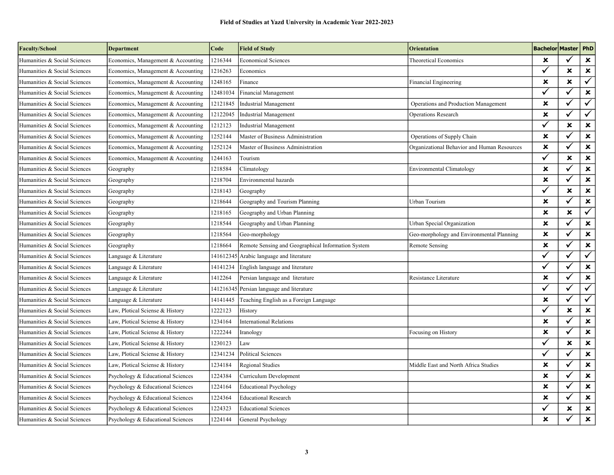| <b>Faculty/School</b>        | <b>Department</b>                  | Code      | <b>Field of Study</b>                              | <b>Orientation</b>                          | <b>Bachelor Master   PhD</b> |                           |                           |
|------------------------------|------------------------------------|-----------|----------------------------------------------------|---------------------------------------------|------------------------------|---------------------------|---------------------------|
| Humanities & Social Sciences | Economics, Management & Accounting | 1216344   | <b>Economical Sciences</b>                         | Theoretical Economics                       | ×                            | $\checkmark$              | $\pmb{\times}$            |
| Humanities & Social Sciences | Economics, Management & Accounting | 1216263   | Economics                                          |                                             | $\checkmark$                 | $\boldsymbol{\mathsf{x}}$ | $\pmb{\times}$            |
| Humanities & Social Sciences | Economics, Management & Accounting | 1248165   | Finance                                            | Financial Engineering                       | ×                            | $\mathbf x$               | $\checkmark$              |
| Humanities & Social Sciences | Economics, Management & Accounting | 12481034  | Financial Management                               |                                             | $\checkmark$                 | ✓                         | $\pmb{\times}$            |
| Humanities & Social Sciences | Economics, Management & Accounting | 12121845  | <b>Industrial Management</b>                       | Operations and Production Management        | ×                            | $\checkmark$              | $\checkmark$              |
| Humanities & Social Sciences | Economics, Management & Accounting | 12122045  | <b>Industrial Management</b>                       | Operations Research                         | $\boldsymbol{\mathsf{x}}$    | $\checkmark$              | $\checkmark$              |
| Humanities & Social Sciences | Economics, Management & Accounting | 1212123   | <b>Industrial Management</b>                       |                                             | $\checkmark$                 | ×                         | $\pmb{\times}$            |
| Humanities & Social Sciences | Economics, Management & Accounting | 1252144   | Master of Business Administration                  | Operations of Supply Chain                  | ×                            | ✓                         | $\pmb{\times}$            |
| Humanities & Social Sciences | Economics, Management & Accounting | 1252124   | Master of Business Administration                  | Organizational Behavior and Human Resources | $\pmb{\times}$               | $\checkmark$              | $\pmb{\times}$            |
| Humanities & Social Sciences | Economics, Management & Accounting | 1244163   | Tourism                                            |                                             | $\checkmark$                 | $\boldsymbol{\mathsf{x}}$ | $\pmb{\times}$            |
| Humanities & Social Sciences | Geography                          | 1218584   | Climatology                                        | <b>Environmental Climatology</b>            | $\boldsymbol{\mathsf{x}}$    |                           | $\pmb{\times}$            |
| Humanities & Social Sciences | Geography                          | 1218704   | Environmental hazards                              |                                             | $\boldsymbol{\mathsf{x}}$    | $\checkmark$              | $\pmb{\times}$            |
| Humanities & Social Sciences | Geography                          | 1218143   | Geography                                          |                                             | $\checkmark$                 | $\boldsymbol{\mathsf{x}}$ | $\pmb{\times}$            |
| Humanities & Social Sciences | Geography                          | 1218644   | Geography and Tourism Planning                     | Urban Tourism                               | $\pmb{\times}$               | $\checkmark$              | $\pmb{\times}$            |
| Humanities & Social Sciences | Geography                          | 1218165   | Geography and Urban Planning                       |                                             | $\boldsymbol{\mathsf{x}}$    | $\boldsymbol{\mathsf{x}}$ | $\overline{\checkmark}$   |
| Humanities & Social Sciences | Geography                          | 1218544   | Geography and Urban Planning                       | Urban Special Organization                  | ×                            | ✓                         | $\pmb{\times}$            |
| Humanities & Social Sciences | Geography                          | 1218564   | Geo-morphology                                     | Geo-morphology and Environmental Planning   | ×                            | $\checkmark$              | $\pmb{\times}$            |
| Humanities & Social Sciences | Geography                          | 1218664   | Remote Sensing and Geographical Information System | Remote Sensing                              | $\pmb{\times}$               | $\checkmark$              | $\pmb{\times}$            |
| Humanities & Social Sciences | Language & Literature              | 141612345 | Arabic language and literature                     |                                             | $\checkmark$                 | $\checkmark$              | $\overline{\checkmark}$   |
| Humanities & Social Sciences | Language & Literature              | 14141234  | English language and literature                    |                                             | $\checkmark$                 | $\checkmark$              | $\pmb{\times}$            |
| Humanities & Social Sciences | Language & Literature              | 1412264   | Persian language and literature                    | Resistance Literature                       | $\boldsymbol{\mathsf{x}}$    | ✓                         | $\pmb{\times}$            |
| Humanities & Social Sciences | Language & Literature              | 141216345 | Persian language and literature                    |                                             | $\checkmark$                 | ✓                         | $\checkmark$              |
| Humanities & Social Sciences | Language & Literature              | 14141445  | Teaching English as a Foreign Language             |                                             | $\boldsymbol{\mathsf{x}}$    | $\checkmark$              | ✓                         |
| Humanities & Social Sciences | Law, Plotical Sciense & History    | 1222123   | History                                            |                                             | $\checkmark$                 | ×                         | $\pmb{\times}$            |
| Humanities & Social Sciences | Law, Plotical Sciense & History    | 1234164   | <b>International Relations</b>                     |                                             | $\boldsymbol{\mathsf{x}}$    |                           | $\pmb{\times}$            |
| Humanities & Social Sciences | Law, Plotical Sciense & History    | 1222244   | Iranology                                          | Focusing on History                         | ×                            | $\checkmark$              | $\pmb{\times}$            |
| Humanities & Social Sciences | Law, Plotical Sciense & History    | 1230123   | Law                                                |                                             | $\checkmark$                 | $\boldsymbol{\mathsf{x}}$ | $\pmb{\times}$            |
| Humanities & Social Sciences | Law, Plotical Sciense & History    | 12341234  | <b>Political Sciences</b>                          |                                             | $\checkmark$                 | $\checkmark$              | $\pmb{\times}$            |
| Humanities & Social Sciences | Law, Plotical Sciense & History    | 1234184   | <b>Regional Studies</b>                            | Middle East and North Africa Studies        | ×                            |                           | $\pmb{\times}$            |
| Humanities & Social Sciences | Psychology & Educational Sciences  | 1224384   | Curriculum Development                             |                                             | $\pmb{\times}$               | $\checkmark$              | $\boldsymbol{\mathsf{x}}$ |
| Humanities & Social Sciences | Psychology & Educational Sciences  | 1224164   | <b>Educational Psychology</b>                      |                                             | $\mathbf x$                  | $\checkmark$              | $\pmb{\times}$            |
| Humanities & Social Sciences | Psychology & Educational Sciences  | 1224364   | <b>Educational Research</b>                        |                                             | ×                            | $\checkmark$              | $\pmb{\times}$            |
| Humanities & Social Sciences | Psychology & Educational Sciences  | 1224323   | <b>Educational Sciences</b>                        |                                             | ✓                            | ×                         | $\pmb{\times}$            |
| Humanities & Social Sciences | Psychology & Educational Sciences  | 1224144   | General Psychology                                 |                                             | $\pmb{\times}$               |                           | $\pmb{\times}$            |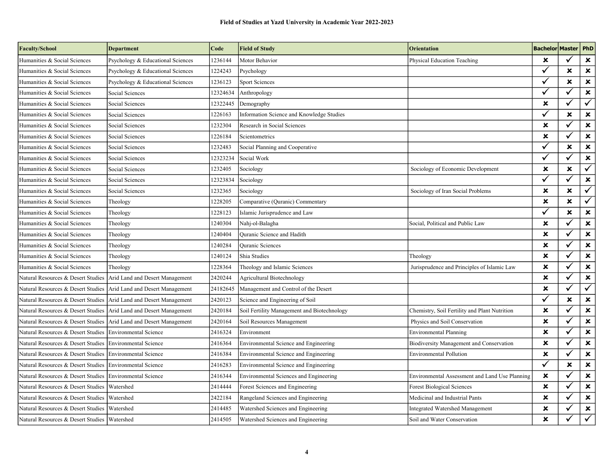| <b>Faculty/School</b>                        | <b>Department</b>                 | Code     | <b>Field of Study</b>                         | <b>Orientation</b>                             | <b>Bachelor Master   PhD</b> |                           |                           |
|----------------------------------------------|-----------------------------------|----------|-----------------------------------------------|------------------------------------------------|------------------------------|---------------------------|---------------------------|
| Humanities & Social Sciences                 | Psychology & Educational Sciences | 1236144  | Motor Behavior                                | Physical Education Teaching                    | ×                            | $\checkmark$              | $\pmb{\times}$            |
| Humanities & Social Sciences                 | Psychology & Educational Sciences | 1224243  | Psychology                                    |                                                | $\checkmark$                 | $\boldsymbol{\mathsf{x}}$ | $\pmb{\times}$            |
| Humanities & Social Sciences                 | Psychology & Educational Sciences | 1236123  | <b>Sport Sciences</b>                         |                                                | $\checkmark$                 | ×                         | $\pmb{\times}$            |
| Humanities & Social Sciences                 | Social Sciences                   | 12324634 | Anthropology                                  |                                                | ✓                            | $\checkmark$              | $\pmb{\times}$            |
| Humanities & Social Sciences                 | Social Sciences                   | 12322445 | Demography                                    |                                                | $\mathbf x$                  | $\checkmark$              | $\checkmark$              |
| Humanities & Social Sciences                 | Social Sciences                   | 1226163  | Information Science and Knowledge Studies     |                                                | ✓                            | ×                         | $\pmb{\times}$            |
| Humanities & Social Sciences                 | Social Sciences                   | 1232304  | Research in Social Sciences                   |                                                | $\pmb{\times}$               |                           | $\pmb{\times}$            |
| Humanities & Social Sciences                 | Social Sciences                   | 1226184  | Scientometrics                                |                                                | ×                            | $\checkmark$              | $\pmb{\times}$            |
| Humanities & Social Sciences                 | Social Sciences                   | 1232483  | Social Planning and Cooperative               |                                                | $\checkmark$                 | ×                         | $\pmb{\times}$            |
| Humanities & Social Sciences                 | Social Sciences                   | 12323234 | Social Work                                   |                                                | $\checkmark$                 | ✓                         | $\pmb{\times}$            |
| Humanities & Social Sciences                 | Social Sciences                   | 1232405  | Sociology                                     | Sociology of Economic Development              | $\mathbf x$                  | ×                         | $\overline{\checkmark}$   |
| Humanities & Social Sciences                 | Social Sciences                   | 12323834 | Sociology                                     |                                                | $\checkmark$                 | ✓                         | $\pmb{\times}$            |
| Humanities & Social Sciences                 | Social Sciences                   | 1232365  | Sociology                                     | Sociology of Iran Social Problems              | $\mathbf x$                  | ×                         | $\checkmark$              |
| Humanities & Social Sciences                 | Theology                          | 1228205  | Comparative (Quranic) Commentary              |                                                | ×                            | $\boldsymbol{\mathsf{x}}$ | $\checkmark$              |
| Humanities & Social Sciences                 | Theology                          | 1228123  | Islamic Jurisprudence and Law                 |                                                | ✓                            | ×                         | $\pmb{\times}$            |
| Humanities & Social Sciences                 | Theology                          | 1240304  | Nahj-ol-Balagha                               | Social, Political and Public Law               | ×                            | $\checkmark$              | ×                         |
| Humanities & Social Sciences                 | Theology                          | 1240404  | <b>Quranic Science and Hadith</b>             |                                                | ×                            | ✓                         | $\pmb{\times}$            |
| Humanities & Social Sciences                 | Theology                          | 1240284  | <b>Quranic Sciences</b>                       |                                                | $\pmb{\times}$               | $\checkmark$              | $\pmb{\times}$            |
| Humanities & Social Sciences                 | Theology                          | 1240124  | Shia Studies                                  | Theology                                       | $\pmb{\times}$               | ✓                         | $\pmb{\times}$            |
| Humanities & Social Sciences                 | Theology                          | 1228364  | Theology and Islamic Sciences                 | Jurisprudence and Principles of Islamic Law    | ×                            | $\checkmark$              | $\boldsymbol{\mathsf{x}}$ |
| Natural Resources & Desert Studies           | Arid Land and Desert Management   | 2420244  | Agricultural Biotechnology                    |                                                | ×                            | $\checkmark$              | $\pmb{\times}$            |
| Natural Resources & Desert Studies           | Arid Land and Desert Management   | 24182645 | Management and Control of the Desert          |                                                | ×                            | $\checkmark$              | $\checkmark$              |
| Natural Resources & Desert Studies           | Arid Land and Desert Management   | 2420123  | Science and Engineering of Soil               |                                                |                              | ×                         | $\pmb{\times}$            |
| Natural Resources & Desert Studies           | Arid Land and Desert Management   | 2420184  | Soil Fertility Management and Biotechnology   | Chemistry, Soil Fertility and Plant Nutrition  | ×                            |                           | ×                         |
| Natural Resources & Desert Studies           | Arid Land and Desert Management   | 2420164  | Soil Resources Management                     | Physics and Soil Conservation                  | ×                            | ✓                         | $\pmb{\times}$            |
| Natural Resources & Desert Studies           | <b>Environmental Science</b>      | 2416324  | Environment                                   | Environmental Planning                         | ×                            | $\checkmark$              | $\pmb{\times}$            |
| Natural Resources & Desert Studies           | Environmental Science             | 2416364  | Environmental Science and Engineering         | Biodiversity Management and Conservation       | $\pmb{\times}$               | ✓                         | $\pmb{\times}$            |
| Natural Resources & Desert Studies           | <b>Environmental Science</b>      | 2416384  | Environmental Science and Engineering         | <b>Environmental Pollution</b>                 | ×                            | $\checkmark$              | $\pmb{\times}$            |
| Natural Resources & Desert Studies           | Environmental Science             | 2416283  | Environmental Science and Engineering         |                                                | ✓                            | $\mathbf x$               | $\pmb{\times}$            |
| Natural Resources & Desert Studies           | Environmental Science             | 2416344  | <b>Environmental Sciences and Engineering</b> | Environmental Assessment and Land Use Planning | ×                            | $\checkmark$              | $\pmb{\times}$            |
| Natural Resources & Desert Studies           | Watershed                         | 2414444  | Forest Sciences and Engineering               | <b>Forest Biological Sciences</b>              | $\pmb{\times}$               | ✓                         | $\pmb{\times}$            |
| Natural Resources & Desert Studies           | Watershed                         | 2422184  | Rangeland Sciences and Engineering            | Medicinal and Industrial Pants                 | ×                            | ✓                         | $\pmb{\times}$            |
| Natural Resources & Desert Studies           | Watershed                         | 2414485  | Watershed Sciences and Engineering            | Integrated Watershed Management                | ×                            | ✓                         | $\pmb{\times}$            |
| Natural Resources & Desert Studies Watershed |                                   | 2414505  | Watershed Sciences and Engineering            | Soil and Water Conservation                    | ×                            |                           | $\checkmark$              |